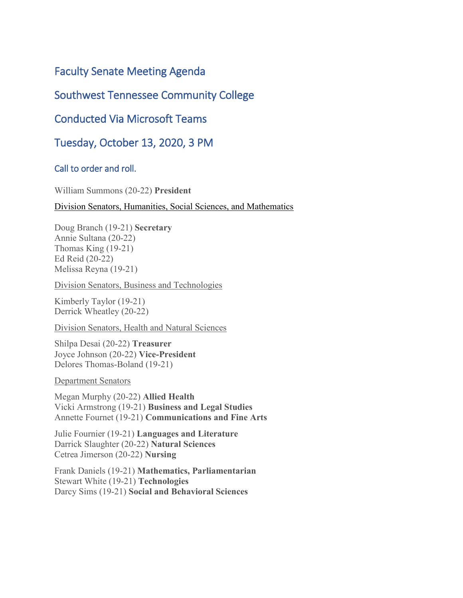# Faculty Senate Meeting Agenda

## Southwest Tennessee Community College

# Conducted Via Microsoft Teams

Tuesday, October 13, 2020, 3 PM

### Call to order and roll.

William Summons (20-22) **President** 

Division Senators, Humanities, Social Sciences, and Mathematics

Doug Branch (19-21) **Secretary** Annie Sultana (20-22) Thomas King (19-21) Ed Reid (20-22) Melissa Reyna (19-21)

Division Senators, Business and Technologies

Kimberly Taylor (19-21) Derrick Wheatley (20-22)

Division Senators, Health and Natural Sciences

Shilpa Desai (20-22) **Treasurer** Joyce Johnson (20-22) **Vice-President** Delores Thomas-Boland (19-21)

Department Senators

Megan Murphy (20-22) **Allied Health**  Vicki Armstrong (19-21) **Business and Legal Studies** Annette Fournet (19-21) **Communications and Fine Arts**

Julie Fournier (19-21) **Languages and Literature** Darrick Slaughter (20-22) **Natural Sciences**  Cetrea Jimerson (20-22) **Nursing** 

Frank Daniels (19-21) **Mathematics, Parliamentarian**  Stewart White (19-21) **Technologies** Darcy Sims (19-21) **Social and Behavioral Sciences**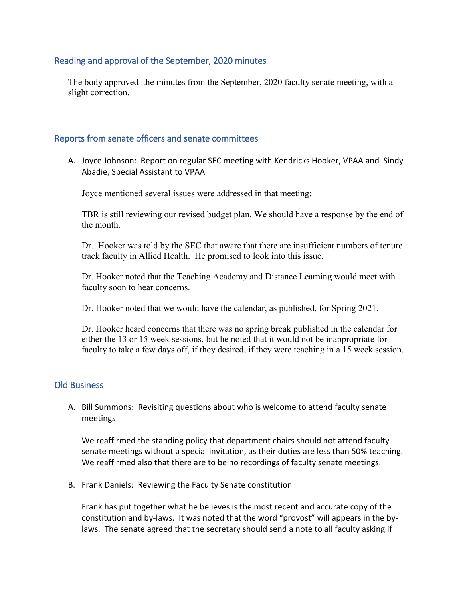### Reading and approval of the September, 2020 minutes

The body approved the minutes from the September, 2020 faculty senate meeting, with a slight correction.

#### Reports from senate officers and senate committees

A. Joyce Johnson: Report on regular SEC meeting with Kendricks Hooker, VPAA and Sindy Abadie, Special Assistant to VPAA

Joyce mentioned several issues were addressed in that meeting:

TBR is still reviewing our revised budget plan. We should have a response by the end of the month.

Dr. Hooker was told by the SEC that aware that there are insufficient numbers of tenure track faculty in Allied Health. He promised to look into this issue.

Dr. Hooker noted that the Teaching Academy and Distance Learning would meet with faculty soon to hear concerns.

Dr. Hooker noted that we would have the calendar, as published, for Spring 2021.

Dr. Hooker heard concerns that there was no spring break published in the calendar for either the 13 or 15 week sessions, but he noted that it would not be inappropriate for faculty to take a few days off, if they desired, if they were teaching in a 15 week session.

#### Old Business

A. Bill Summons: Revisiting questions about who is welcome to attend faculty senate meetings

We reaffirmed the standing policy that department chairs should not attend faculty senate meetings without a special invitation, as their duties are less than 50% teaching. We reaffirmed also that there are to be no recordings of faculty senate meetings.

B. Frank Daniels: Reviewing the Faculty Senate constitution

Frank has put together what he believes is the most recent and accurate copy of the constitution and by-laws. It was noted that the word "provost" will appears in the bylaws. The senate agreed that the secretary should send a note to all faculty asking if